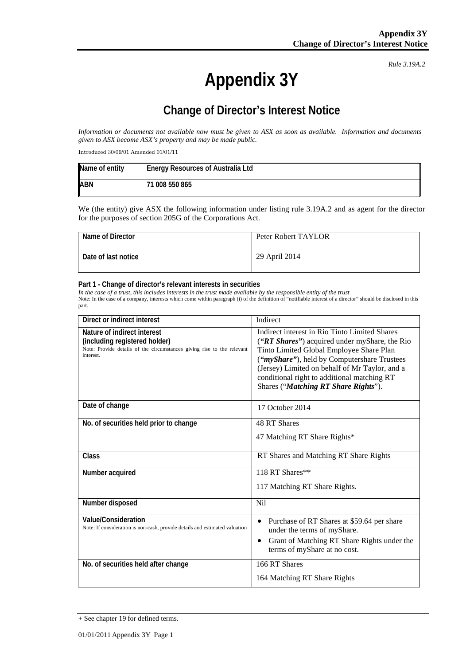*Rule 3.19A.2*

# **Appendix 3Y**

# **Change of Director's Interest Notice**

*Information or documents not available now must be given to ASX as soon as available. Information and documents given to ASX become ASX's property and may be made public.*

Introduced 30/09/01 Amended 01/01/11

| Name of entity | <b>Energy Resources of Australia Ltd</b> |
|----------------|------------------------------------------|
| <b>ABN</b>     | 71 008 550 865                           |

We (the entity) give ASX the following information under listing rule 3.19A.2 and as agent for the director for the purposes of section 205G of the Corporations Act.

| Name of Director    | Peter Robert TAYLOR |
|---------------------|---------------------|
| Date of last notice | 29 April 2014       |

#### **Part 1 - Change of director's relevant interests in securities**

*In the case of a trust, this includes interests in the trust made available by the responsible entity of the trust* Note: In the case of a company, interests which come within paragraph (i) of the definition of "notifiable interest of a director" should be disclosed in this part.

| Direct or indirect interest                                                                                                                         | Indirect                                                                                                                                                                                                                                                                                                                           |
|-----------------------------------------------------------------------------------------------------------------------------------------------------|------------------------------------------------------------------------------------------------------------------------------------------------------------------------------------------------------------------------------------------------------------------------------------------------------------------------------------|
| Nature of indirect interest<br>(including registered holder)<br>Note: Provide details of the circumstances giving rise to the relevant<br>interest. | Indirect interest in Rio Tinto Limited Shares<br>("RT Shares") acquired under myShare, the Rio<br>Tinto Limited Global Employee Share Plan<br>("myShare"), held by Computershare Trustees<br>(Jersey) Limited on behalf of Mr Taylor, and a<br>conditional right to additional matching RT<br>Shares ("Matching RT Share Rights"). |
| Date of change                                                                                                                                      | 17 October 2014                                                                                                                                                                                                                                                                                                                    |
| No. of securities held prior to change                                                                                                              | 48 RT Shares<br>47 Matching RT Share Rights*                                                                                                                                                                                                                                                                                       |
| Class                                                                                                                                               | RT Shares and Matching RT Share Rights                                                                                                                                                                                                                                                                                             |
| Number acquired                                                                                                                                     | 118 RT Shares**<br>117 Matching RT Share Rights.                                                                                                                                                                                                                                                                                   |
| Number disposed                                                                                                                                     | <b>Nil</b>                                                                                                                                                                                                                                                                                                                         |
| <b>Value/Consideration</b><br>Note: If consideration is non-cash, provide details and estimated valuation                                           | Purchase of RT Shares at \$59.64 per share<br>$\bullet$<br>under the terms of myShare.<br>Grant of Matching RT Share Rights under the<br>٠<br>terms of myShare at no cost.                                                                                                                                                         |
| No. of securities held after change                                                                                                                 | 166 RT Shares<br>164 Matching RT Share Rights                                                                                                                                                                                                                                                                                      |

<sup>+</sup> See chapter 19 for defined terms.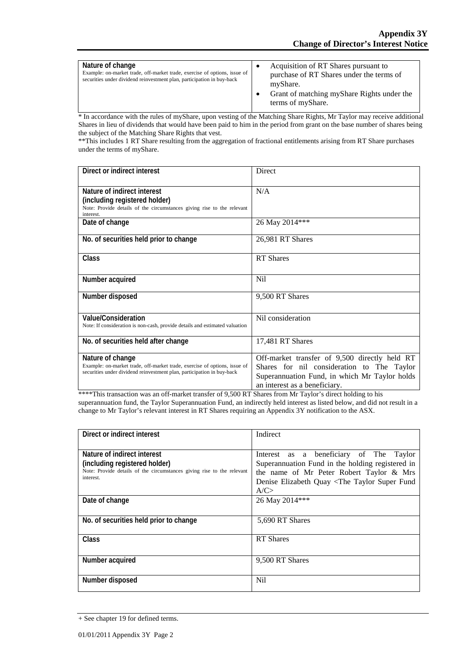| Nature of change<br>Example: on-market trade, off-market trade, exercise of options, issue of<br>securities under dividend reinvestment plan, participation in buy-back | Acquisition of RT Shares pursuant to<br>purchase of RT Shares under the terms of<br>myShare.<br>Grant of matching myShare Rights under the<br>terms of myShare. |
|-------------------------------------------------------------------------------------------------------------------------------------------------------------------------|-----------------------------------------------------------------------------------------------------------------------------------------------------------------|
|-------------------------------------------------------------------------------------------------------------------------------------------------------------------------|-----------------------------------------------------------------------------------------------------------------------------------------------------------------|

\* In accordance with the rules of myShare, upon vesting of the Matching Share Rights, Mr Taylor may receive additional Shares in lieu of dividends that would have been paid to him in the period from grant on the base number of shares being the subject of the Matching Share Rights that vest.

\*\*This includes 1 RT Share resulting from the aggregation of fractional entitlements arising from RT Share purchases under the terms of myShare.

| Direct or indirect interest                                                                                                                                             | Direct                                                                                                                                                                        |  |
|-------------------------------------------------------------------------------------------------------------------------------------------------------------------------|-------------------------------------------------------------------------------------------------------------------------------------------------------------------------------|--|
| Nature of indirect interest<br>(including registered holder)<br>Note: Provide details of the circumstances giving rise to the relevant<br>interest.                     | N/A                                                                                                                                                                           |  |
| Date of change                                                                                                                                                          | 26 May 2014***                                                                                                                                                                |  |
| No. of securities held prior to change                                                                                                                                  | 26,981 RT Shares                                                                                                                                                              |  |
| Class                                                                                                                                                                   | <b>RT</b> Shares                                                                                                                                                              |  |
| Number acquired                                                                                                                                                         | Nil                                                                                                                                                                           |  |
| Number disposed                                                                                                                                                         | 9,500 RT Shares                                                                                                                                                               |  |
| <b>Value/Consideration</b><br>Note: If consideration is non-cash, provide details and estimated valuation                                                               | Nil consideration                                                                                                                                                             |  |
| No. of securities held after change                                                                                                                                     | 17,481 RT Shares                                                                                                                                                              |  |
| Nature of change<br>Example: on-market trade, off-market trade, exercise of options, issue of<br>securities under dividend reinvestment plan, participation in buy-back | Off-market transfer of 9,500 directly held RT<br>Shares for nil consideration to The Taylor<br>Superannuation Fund, in which Mr Taylor holds<br>an interest as a beneficiary. |  |

\*\*\*\*This transaction was an off-market transfer of 9,500 RT Shares from Mr Taylor's direct holding to his superannuation fund, the Taylor Superannuation Fund, an indirectly held interest as listed below, and did not result in a change to Mr Taylor's relevant interest in RT Shares requiring an Appendix 3Y notification to the ASX.

| Direct or indirect interest                                                                                                                         | Indirect                                                                                                                                                                                                         |
|-----------------------------------------------------------------------------------------------------------------------------------------------------|------------------------------------------------------------------------------------------------------------------------------------------------------------------------------------------------------------------|
| Nature of indirect interest<br>(including registered holder)<br>Note: Provide details of the circumstances giving rise to the relevant<br>interest. | as a beneficiary of The Taylor<br>Interest<br>Superannuation Fund in the holding registered in<br>the name of Mr Peter Robert Taylor & Mrs<br>Denise Elizabeth Quay <the fund<br="" super="" taylor="">A/C</the> |
| Date of change                                                                                                                                      | 26 May 2014***                                                                                                                                                                                                   |
| No. of securities held prior to change                                                                                                              | 5,690 RT Shares                                                                                                                                                                                                  |
| <b>Class</b>                                                                                                                                        | <b>RT</b> Shares                                                                                                                                                                                                 |
| Number acquired                                                                                                                                     | 9,500 RT Shares                                                                                                                                                                                                  |
| Number disposed                                                                                                                                     | N <sub>i</sub>                                                                                                                                                                                                   |

<sup>+</sup> See chapter 19 for defined terms.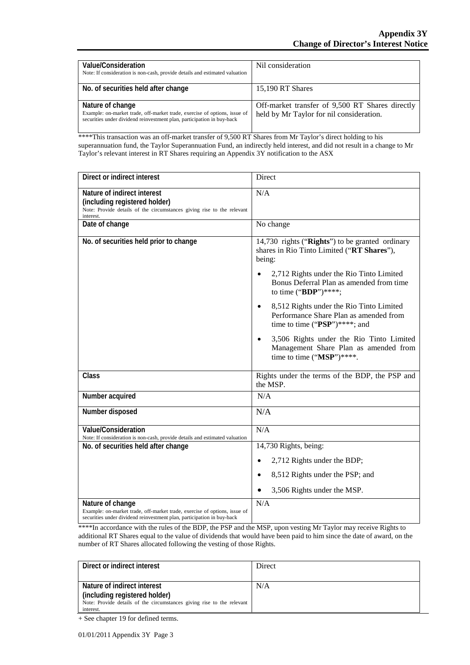| Value/Consideration<br>Note: If consideration is non-cash, provide details and estimated valuation                                                                      | Nil consideration                                                                           |
|-------------------------------------------------------------------------------------------------------------------------------------------------------------------------|---------------------------------------------------------------------------------------------|
| No. of securities held after change                                                                                                                                     | 15,190 RT Shares                                                                            |
| Nature of change<br>Example: on-market trade, off-market trade, exercise of options, issue of<br>securities under dividend reinvestment plan, participation in buy-back | Off-market transfer of 9,500 RT Shares directly<br>held by Mr Taylor for nil consideration. |

\*\*\*\*This transaction was an off-market transfer of 9,500 RT Shares from Mr Taylor's direct holding to his superannuation fund, the Taylor Superannuation Fund, an indirectly held interest, and did not result in a change to Mr Taylor's relevant interest in RT Shares requiring an Appendix 3Y notification to the ASX

| Direct or indirect interest                                                                                                                                             | Direct                                                                                                                                                                                                                                                                                                                                                                                                                                                                            |
|-------------------------------------------------------------------------------------------------------------------------------------------------------------------------|-----------------------------------------------------------------------------------------------------------------------------------------------------------------------------------------------------------------------------------------------------------------------------------------------------------------------------------------------------------------------------------------------------------------------------------------------------------------------------------|
| Nature of indirect interest<br>(including registered holder)<br>Note: Provide details of the circumstances giving rise to the relevant<br>interest.                     | N/A                                                                                                                                                                                                                                                                                                                                                                                                                                                                               |
| Date of change                                                                                                                                                          | No change                                                                                                                                                                                                                                                                                                                                                                                                                                                                         |
| No. of securities held prior to change                                                                                                                                  | 14,730 rights ("Rights") to be granted ordinary<br>shares in Rio Tinto Limited ("RT Shares"),<br>being:<br>2,712 Rights under the Rio Tinto Limited<br>Bonus Deferral Plan as amended from time<br>to time ("BDP")****;<br>8,512 Rights under the Rio Tinto Limited<br>$\bullet$<br>Performance Share Plan as amended from<br>time to time (" $PSP$ ")****; and<br>3,506 Rights under the Rio Tinto Limited<br>Management Share Plan as amended from<br>time to time ("MSP")****. |
| Class                                                                                                                                                                   | Rights under the terms of the BDP, the PSP and<br>the MSP.                                                                                                                                                                                                                                                                                                                                                                                                                        |
| Number acquired                                                                                                                                                         | N/A                                                                                                                                                                                                                                                                                                                                                                                                                                                                               |
| Number disposed                                                                                                                                                         | N/A                                                                                                                                                                                                                                                                                                                                                                                                                                                                               |
| Value/Consideration<br>Note: If consideration is non-cash, provide details and estimated valuation                                                                      | N/A                                                                                                                                                                                                                                                                                                                                                                                                                                                                               |
| No. of securities held after change                                                                                                                                     | 14,730 Rights, being:                                                                                                                                                                                                                                                                                                                                                                                                                                                             |
|                                                                                                                                                                         | 2,712 Rights under the BDP;                                                                                                                                                                                                                                                                                                                                                                                                                                                       |
|                                                                                                                                                                         | 8,512 Rights under the PSP; and<br>$\bullet$                                                                                                                                                                                                                                                                                                                                                                                                                                      |
|                                                                                                                                                                         | 3,506 Rights under the MSP.                                                                                                                                                                                                                                                                                                                                                                                                                                                       |
| Nature of change<br>Example: on-market trade, off-market trade, exercise of options, issue of<br>securities under dividend reinvestment plan, participation in buy-back | N/A                                                                                                                                                                                                                                                                                                                                                                                                                                                                               |

\*\*\*\*In accordance with the rules of the BDP, the PSP and the MSP, upon vesting Mr Taylor may receive Rights to additional RT Shares equal to the value of dividends that would have been paid to him since the date of award, on the number of RT Shares allocated following the vesting of those Rights.

| Direct or indirect interest                                            | Direct |
|------------------------------------------------------------------------|--------|
|                                                                        |        |
| Nature of indirect interest                                            | N/A    |
| (including registered holder)                                          |        |
| Note: Provide details of the circumstances giving rise to the relevant |        |
| interest.                                                              |        |

+ See chapter 19 for defined terms.